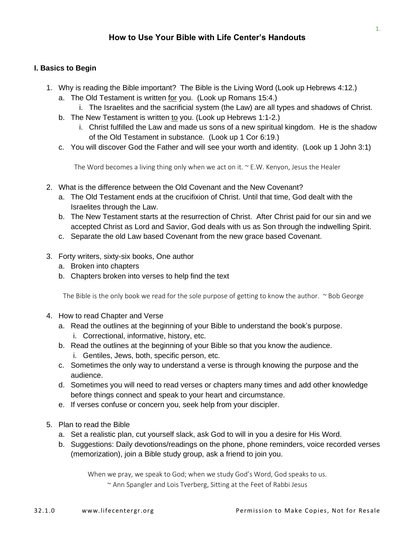## **I. Basics to Begin**

- 1. Why is reading the Bible important? The Bible is the Living Word (Look up Hebrews 4:12.)
	- a. The Old Testament is written for you. (Look up Romans 15:4.)
		- i. The Israelites and the sacrificial system (the Law) are all types and shadows of Christ.
	- b. The New Testament is written to you. (Look up Hebrews 1:1-2.)
		- i. Christ fulfilled the Law and made us sons of a new spiritual kingdom. He is the shadow of the Old Testament in substance. (Look up 1 Cor 6:19.)
	- c. You will discover God the Father and will see your worth and identity. (Look up 1 John 3:1)

The Word becomes a living thing only when we act on it.  $\sim$  E.W. Kenyon, Jesus the Healer

- 2. What is the difference between the Old Covenant and the New Covenant?
	- a. The Old Testament ends at the crucifixion of Christ. Until that time, God dealt with the Israelites through the Law.
	- b. The New Testament starts at the resurrection of Christ. After Christ paid for our sin and we accepted Christ as Lord and Savior, God deals with us as Son through the indwelling Spirit.
	- c. Separate the old Law based Covenant from the new grace based Covenant.
- 3. Forty writers, sixty-six books, One author
	- a. Broken into chapters
	- b. Chapters broken into verses to help find the text

The Bible is the only book we read for the sole purpose of getting to know the author.  $\sim$  Bob George

- 4. How to read Chapter and Verse
	- a. Read the outlines at the beginning of your Bible to understand the book's purpose.
		- i. Correctional, informative, history, etc.
	- b. Read the outlines at the beginning of your Bible so that you know the audience. i. Gentiles, Jews, both, specific person, etc.
	- c. Sometimes the only way to understand a verse is through knowing the purpose and the audience.
	- d. Sometimes you will need to read verses or chapters many times and add other knowledge before things connect and speak to your heart and circumstance.
	- e. If verses confuse or concern you, seek help from your discipler.
- 5. Plan to read the Bible
	- a. Set a realistic plan, cut yourself slack, ask God to will in you a desire for His Word.
	- b. Suggestions: Daily devotions/readings on the phone, phone reminders, voice recorded verses (memorization), join a Bible study group, ask a friend to join you.

When we pray, we speak to God; when we study God's Word, God speaks to us.

~ Ann Spangler and Lois Tverberg, [Sitting at the Feet of Rabbi Jesus](https://www.amazon.com/Sitting-Feet-Rabbi-Jesus-Jewishness/dp/0310330696)